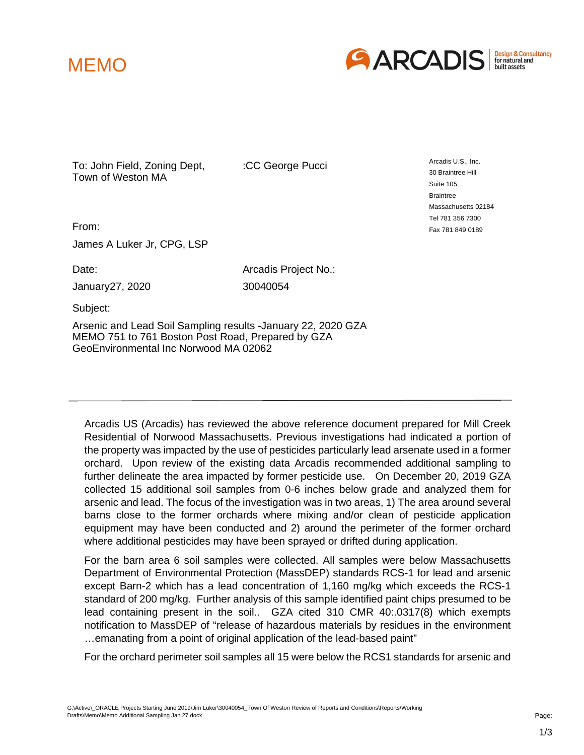



To: John Field, Zoning Dept, Town of Weston MA

:CC George Pucci

Arcadis U.S., Inc. 30 Braintree Hill Suite 105 **Braintree** Massachusetts 02184 Tel 781 356 7300 Fax 781 849 0189

From:

James A Luker Jr, CPG, LSP

January27, 2020 30040054

Date: **Date:** Arcadis Project No.:

Subject:

Arsenic and Lead Soil Sampling results -January 22, 2020 GZA MEMO 751 to 761 Boston Post Road, Prepared by GZA GeoEnvironmental Inc Norwood MA 02062

 Arcadis US (Arcadis) has reviewed the above reference document prepared for Mill Creek Residential of Norwood Massachusetts. Previous investigations had indicated a portion of the property was impacted by the use of pesticides particularly lead arsenate used in a former orchard. Upon review of the existing data Arcadis recommended additional sampling to further delineate the area impacted by former pesticide use. On December 20, 2019 GZA collected 15 additional soil samples from 0-6 inches below grade and analyzed them for arsenic and lead. The focus of the investigation was in two areas, 1) The area around several barns close to the former orchards where mixing and/or clean of pesticide application equipment may have been conducted and 2) around the perimeter of the former orchard where additional pesticides may have been sprayed or drifted during application.

 For the barn area 6 soil samples were collected. All samples were below Massachusetts Department of Environmental Protection (MassDEP) standards RCS-1 for lead and arsenic except Barn-2 which has a lead concentration of 1,160 mg/kg which exceeds the RCS-1 standard of 200 mg/kg. Further analysis of this sample identified paint chips presumed to be lead containing present in the soil.. GZA cited 310 CMR 40:.0317(8) which exempts notification to MassDEP of "release of hazardous materials by residues in the environment …emanating from a point of original application of the lead-based paint"

For the orchard perimeter soil samples all 15 were below the RCS1 standards for arsenic and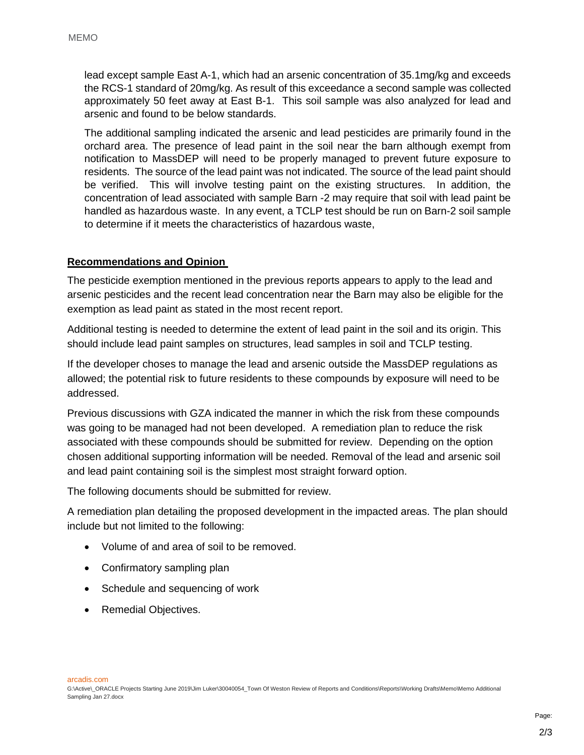lead except sample East A-1, which had an arsenic concentration of 35.1mg/kg and exceeds the RCS-1 standard of 20mg/kg. As result of this exceedance a second sample was collected approximately 50 feet away at East B-1. This soil sample was also analyzed for lead and arsenic and found to be below standards.

 The additional sampling indicated the arsenic and lead pesticides are primarily found in the orchard area. The presence of lead paint in the soil near the barn although exempt from notification to MassDEP will need to be properly managed to prevent future exposure to residents. The source of the lead paint was not indicated. The source of the lead paint should be verified. This will involve testing paint on the existing structures. In addition, the concentration of lead associated with sample Barn -2 may require that soil with lead paint be handled as hazardous waste. In any event, a TCLP test should be run on Barn-2 soil sample to determine if it meets the characteristics of hazardous waste,

## **Recommendations and Opinion**

The pesticide exemption mentioned in the previous reports appears to apply to the lead and arsenic pesticides and the recent lead concentration near the Barn may also be eligible for the exemption as lead paint as stated in the most recent report.

Additional testing is needed to determine the extent of lead paint in the soil and its origin. This should include lead paint samples on structures, lead samples in soil and TCLP testing.

If the developer choses to manage the lead and arsenic outside the MassDEP regulations as allowed; the potential risk to future residents to these compounds by exposure will need to be addressed.

Previous discussions with GZA indicated the manner in which the risk from these compounds was going to be managed had not been developed. A remediation plan to reduce the risk associated with these compounds should be submitted for review. Depending on the option chosen additional supporting information will be needed. Removal of the lead and arsenic soil and lead paint containing soil is the simplest most straight forward option.

The following documents should be submitted for review.

A remediation plan detailing the proposed development in the impacted areas. The plan should include but not limited to the following:

- Volume of and area of soil to be removed.
- Confirmatory sampling plan
- Schedule and sequencing of work
- Remedial Objectives.

arcadis.com

G:\Active\\_ORACLE Projects Starting June 2019\Jim Luker\30040054\_Town Of Weston Review of Reports and Conditions\Reports\Working Drafts\Memo\Memo Additional Sampling Jan 27.docx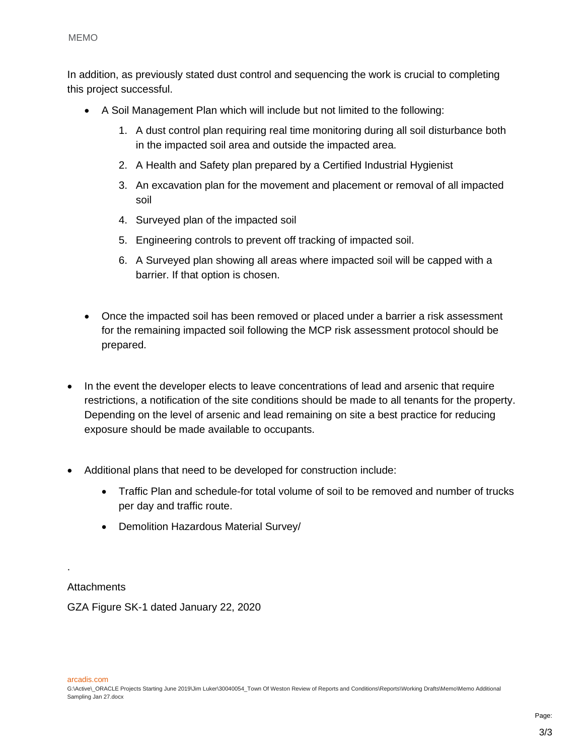In addition, as previously stated dust control and sequencing the work is crucial to completing this project successful.

- A Soil Management Plan which will include but not limited to the following:
	- 1. A dust control plan requiring real time monitoring during all soil disturbance both in the impacted soil area and outside the impacted area.
	- 2. A Health and Safety plan prepared by a Certified Industrial Hygienist
	- 3. An excavation plan for the movement and placement or removal of all impacted soil
	- 4. Surveyed plan of the impacted soil
	- 5. Engineering controls to prevent off tracking of impacted soil.
	- 6. A Surveyed plan showing all areas where impacted soil will be capped with a barrier. If that option is chosen.
- Once the impacted soil has been removed or placed under a barrier a risk assessment for the remaining impacted soil following the MCP risk assessment protocol should be prepared.
- In the event the developer elects to leave concentrations of lead and arsenic that require restrictions, a notification of the site conditions should be made to all tenants for the property. Depending on the level of arsenic and lead remaining on site a best practice for reducing exposure should be made available to occupants.
- Additional plans that need to be developed for construction include:
	- Traffic Plan and schedule-for total volume of soil to be removed and number of trucks per day and traffic route.
	- Demolition Hazardous Material Survey/

**Attachments** 

.

GZA Figure SK-1 dated January 22, 2020

arcadis.com

G:\Active\\_ORACLE Projects Starting June 2019\Jim Luker\30040054\_Town Of Weston Review of Reports and Conditions\Reports\Working Drafts\Memo\Memo Additional Sampling Jan 27.docx